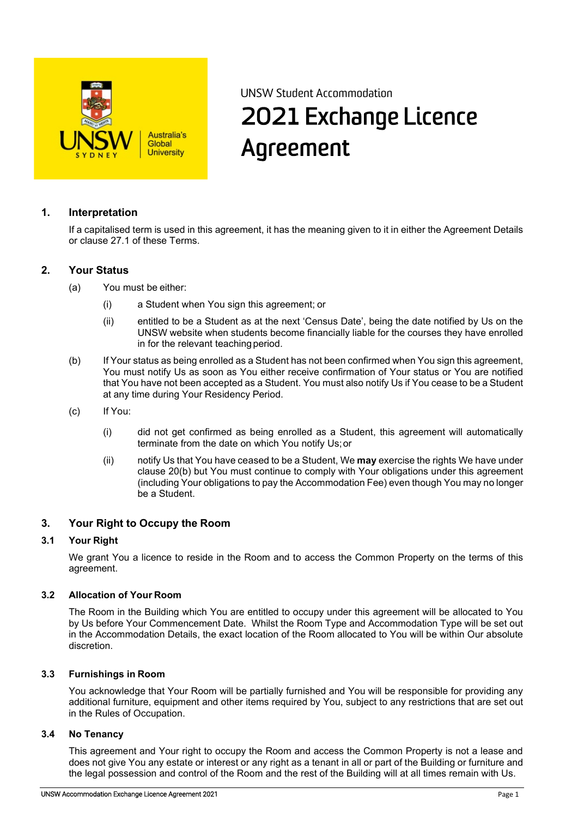

# UNSW Student Accommodation 2021 Exchange Licence Agreement

## **1. Interpretation**

If a capitalised term is used in this agreement, it has the meaning given to it in either the Agreement Details or clause 27.1 of these Terms.

#### **2. Your Status**

- (a) You must be either:
	- (i) a Student when You sign this agreement; or
	- (ii) entitled to be a Student as at the next 'Census Date', being the date notified by Us on the UNSW website when students become financially liable for the courses they have enrolled in for the relevant teaching period.
- (b) If Your status as being enrolled as a Student has not been confirmed when You sign this agreement, You must notify Us as soon as You either receive confirmation of Your status or You are notified that You have not been accepted as a Student. You must also notify Us if You cease to be a Student at any time during Your Residency Period.
- (c) If You:
	- (i) did not get confirmed as being enrolled as a Student, this agreement will automatically terminate from the date on which You notify Us;or
	- (ii) notify Us that You have ceased to be a Student, We **may** exercise the rights We have under clause 20(b) but You must continue to comply with Your obligations under this agreement (including Your obligations to pay the Accommodation Fee) even though You may no longer be a Student.

#### **3. Your Right to Occupy the Room**

#### **3.1 Your Right**

We grant You a licence to reside in the Room and to access the Common Property on the terms of this agreement.

#### **3.2 Allocation of Your Room**

The Room in the Building which You are entitled to occupy under this agreement will be allocated to You by Us before Your Commencement Date. Whilst the Room Type and Accommodation Type will be set out in the Accommodation Details, the exact location of the Room allocated to You will be within Our absolute discretion.

#### **3.3 Furnishings in Room**

You acknowledge that Your Room will be partially furnished and You will be responsible for providing any additional furniture, equipment and other items required by You, subject to any restrictions that are set out in the Rules of Occupation.

#### **3.4 No Tenancy**

This agreement and Your right to occupy the Room and access the Common Property is not a lease and does not give You any estate or interest or any right as a tenant in all or part of the Building or furniture and the legal possession and control of the Room and the rest of the Building will at all times remain with Us.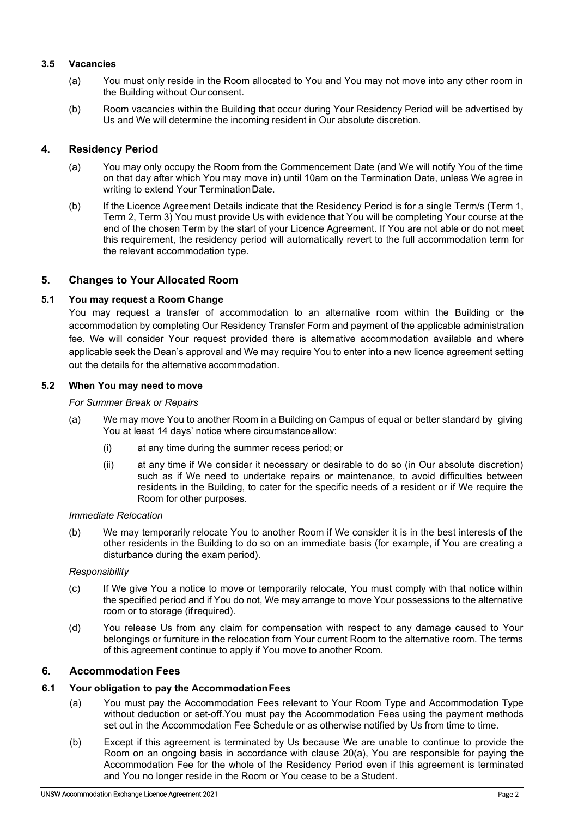#### **3.5 Vacancies**

- (a) You must only reside in the Room allocated to You and You may not move into any other room in the Building without Our consent.
- (b) Room vacancies within the Building that occur during Your Residency Period will be advertised by Us and We will determine the incoming resident in Our absolute discretion.

## **4. Residency Period**

- (a) You may only occupy the Room from the Commencement Date (and We will notify You of the time on that day after which You may move in) until 10am on the Termination Date, unless We agree in writing to extend Your TerminationDate.
- (b) If the Licence Agreement Details indicate that the Residency Period is for a single Term/s (Term 1, Term 2, Term 3) You must provide Us with evidence that You will be completing Your course at the end of the chosen Term by the start of your Licence Agreement. If You are not able or do not meet this requirement, the residency period will automatically revert to the full accommodation term for the relevant accommodation type.

## **5. Changes to Your Allocated Room**

## **5.1 You may request a Room Change**

You may request a transfer of accommodation to an alternative room within the Building or the accommodation by completing Our Residency Transfer Form and payment of the applicable administration fee. We will consider Your request provided there is alternative accommodation available and where applicable seek the Dean's approval and We may require You to enter into a new licence agreement setting out the details for the alternative accommodation.

## **5.2 When You may need to move**

#### *For Summer Break or Repairs*

- (a) We may move You to another Room in a Building on Campus of equal or better standard by giving You at least 14 days' notice where circumstance allow:
	- (i) at any time during the summer recess period; or
	- (ii) at any time if We consider it necessary or desirable to do so (in Our absolute discretion) such as if We need to undertake repairs or maintenance, to avoid difficulties between residents in the Building, to cater for the specific needs of a resident or if We require the Room for other purposes.

#### *Immediate Relocation*

(b) We may temporarily relocate You to another Room if We consider it is in the best interests of the other residents in the Building to do so on an immediate basis (for example, if You are creating a disturbance during the exam period).

#### *Responsibility*

- (c) If We give You a notice to move or temporarily relocate, You must comply with that notice within the specified period and if You do not, We may arrange to move Your possessions to the alternative room or to storage (ifrequired).
- (d) You release Us from any claim for compensation with respect to any damage caused to Your belongings or furniture in the relocation from Your current Room to the alternative room. The terms of this agreement continue to apply if You move to another Room.

## **6. Accommodation Fees**

## **6.1 Your obligation to pay the AccommodationFees**

- (a) You must pay the Accommodation Fees relevant to Your Room Type and Accommodation Type without deduction or set-off.You must pay the Accommodation Fees using the payment methods set out in the Accommodation Fee Schedule or as otherwise notified by Us from time to time.
- (b) Except if this agreement is terminated by Us because We are unable to continue to provide the Room on an ongoing basis in accordance with clause 20(a), You are responsible for paying the Accommodation Fee for the whole of the Residency Period even if this agreement is terminated and You no longer reside in the Room or You cease to be a Student.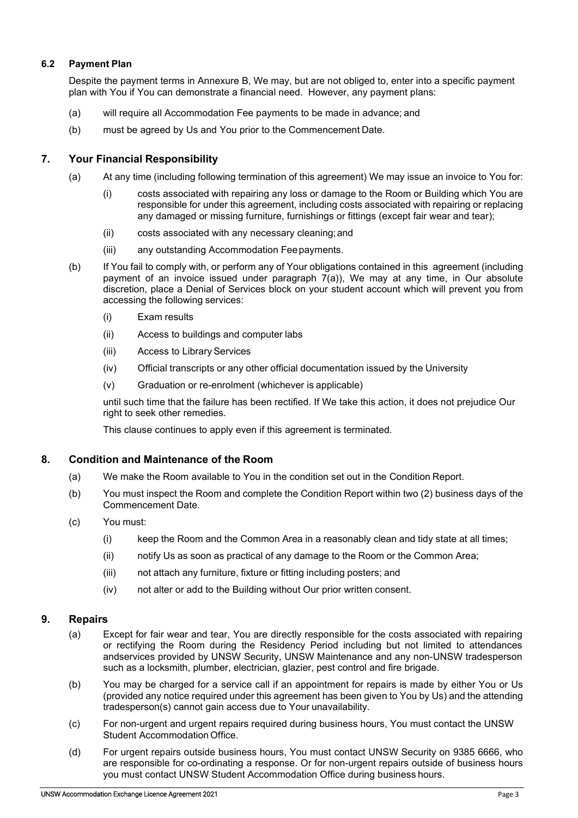## **6.2 Payment Plan**

Despite the payment terms in Annexure B, We may, but are not obliged to, enter into a specific payment plan with You if You can demonstrate a financial need. However, any payment plans:

- (a) will require all Accommodation Fee payments to be made in advance; and
- (b) must be agreed by Us and You prior to the Commencement Date.

## **7. Your Financial Responsibility**

- (a) At any time (including following termination of this agreement) We may issue an invoice to You for:
	- (i) costs associated with repairing any loss or damage to the Room or Building which You are responsible for under this agreement, including costs associated with repairing or replacing any damaged or missing furniture, furnishings or fittings (except fair wear and tear);
	- (ii) costs associated with any necessary cleaning;and
	- (iii) any outstanding Accommodation Feepayments.
- (b) If You fail to comply with, or perform any of Your obligations contained in this agreement (including payment of an invoice issued under paragraph 7(a)), We may at any time, in Our absolute discretion, place a Denial of Services block on your student account which will prevent you from accessing the following services:
	- (i) Exam results
	- (ii) Access to buildings and computer labs
	- (iii) Access to Library Services
	- (iv) Official transcripts or any other official documentation issued by the University
	- (v) Graduation or re-enrolment (whichever is applicable)

until such time that the failure has been rectified. If We take this action, it does not prejudice Our right to seek other remedies.

This clause continues to apply even if this agreement is terminated.

#### **8. Condition and Maintenance of the Room**

- (a) We make the Room available to You in the condition set out in the Condition Report.
- (b) You must inspect the Room and complete the Condition Report within two (2) business days of the Commencement Date.
- (c) You must:
	- (i) keep the Room and the Common Area in a reasonably clean and tidy state at all times;
	- (ii) notify Us as soon as practical of any damage to the Room or the Common Area;
	- (iii) not attach any furniture, fixture or fitting including posters; and
	- (iv) not alter or add to the Building without Our prior written consent.

#### **9. Repairs**

- (a) Except for fair wear and tear, You are directly responsible for the costs associated with repairing or rectifying the Room during the Residency Period including but not limited to attendances andservices provided by UNSW Security, UNSW Maintenance and any non-UNSW tradesperson such as a locksmith, plumber, electrician, glazier, pest control and fire brigade.
- (b) You may be charged for a service call if an appointment for repairs is made by either You or Us (provided any notice required under this agreement has been given to You by Us) and the attending tradesperson(s) cannot gain access due to Your unavailability.
- (c) For non-urgent and urgent repairs required during business hours, You must contact the UNSW Student Accommodation Office.
- (d) For urgent repairs outside business hours, You must contact UNSW Security on 9385 6666, who are responsible for co-ordinating a response. Or for non-urgent repairs outside of business hours you must contact UNSW Student Accommodation Office during business hours.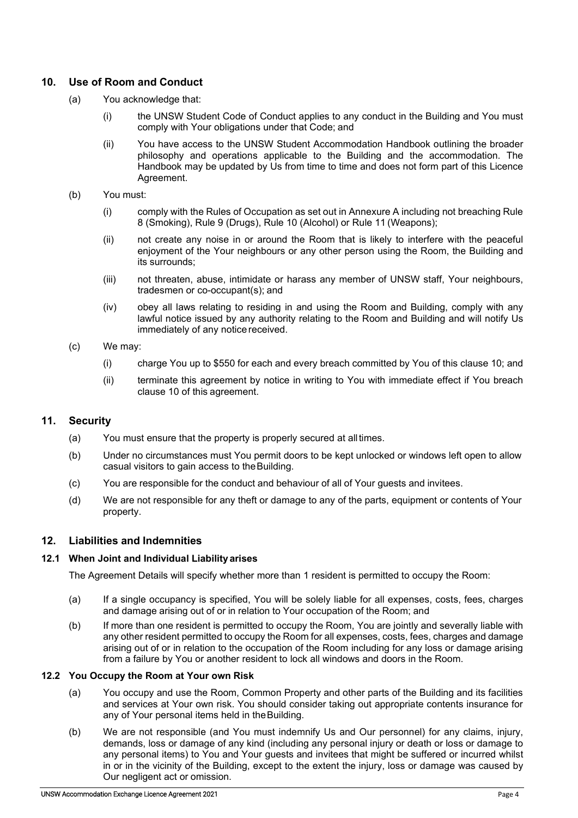## **10. Use of Room and Conduct**

- (a) You acknowledge that:
	- (i) the UNSW Student Code of Conduct applies to any conduct in the Building and You must comply with Your obligations under that Code; and
	- (ii) You have access to the UNSW Student Accommodation Handbook outlining the broader philosophy and operations applicable to the Building and the accommodation. The Handbook may be updated by Us from time to time and does not form part of this Licence Agreement.
- (b) You must:
	- (i) comply with the Rules of Occupation as set out in Annexure A including not breaching Rule 8 (Smoking), Rule 9 (Drugs), Rule 10 (Alcohol) or Rule 11 (Weapons);
	- (ii) not create any noise in or around the Room that is likely to interfere with the peaceful enjoyment of the Your neighbours or any other person using the Room, the Building and its surrounds;
	- (iii) not threaten, abuse, intimidate or harass any member of UNSW staff, Your neighbours, tradesmen or co-occupant(s); and
	- (iv) obey all laws relating to residing in and using the Room and Building, comply with any lawful notice issued by any authority relating to the Room and Building and will notify Us immediately of any notice received.
- (c) We may:
	- (i) charge You up to \$550 for each and every breach committed by You of this clause 10; and
	- (ii) terminate this agreement by notice in writing to You with immediate effect if You breach clause 10 of this agreement.

## **11. Security**

- (a) You must ensure that the property is properly secured at alltimes.
- (b) Under no circumstances must You permit doors to be kept unlocked or windows left open to allow casual visitors to gain access to theBuilding.
- (c) You are responsible for the conduct and behaviour of all of Your guests and invitees.
- (d) We are not responsible for any theft or damage to any of the parts, equipment or contents of Your property.

## **12. Liabilities and Indemnities**

#### **12.1 When Joint and Individual Liability arises**

The Agreement Details will specify whether more than 1 resident is permitted to occupy the Room:

- (a) If a single occupancy is specified, You will be solely liable for all expenses, costs, fees, charges and damage arising out of or in relation to Your occupation of the Room; and
- (b) If more than one resident is permitted to occupy the Room, You are jointly and severally liable with any other resident permitted to occupy the Room for all expenses, costs, fees, charges and damage arising out of or in relation to the occupation of the Room including for any loss or damage arising from a failure by You or another resident to lock all windows and doors in the Room.

#### **12.2 You Occupy the Room at Your own Risk**

- (a) You occupy and use the Room, Common Property and other parts of the Building and its facilities and services at Your own risk. You should consider taking out appropriate contents insurance for any of Your personal items held in the Building.
- (b) We are not responsible (and You must indemnify Us and Our personnel) for any claims, injury, demands, loss or damage of any kind (including any personal injury or death or loss or damage to any personal items) to You and Your guests and invitees that might be suffered or incurred whilst in or in the vicinity of the Building, except to the extent the injury, loss or damage was caused by Our negligent act or omission.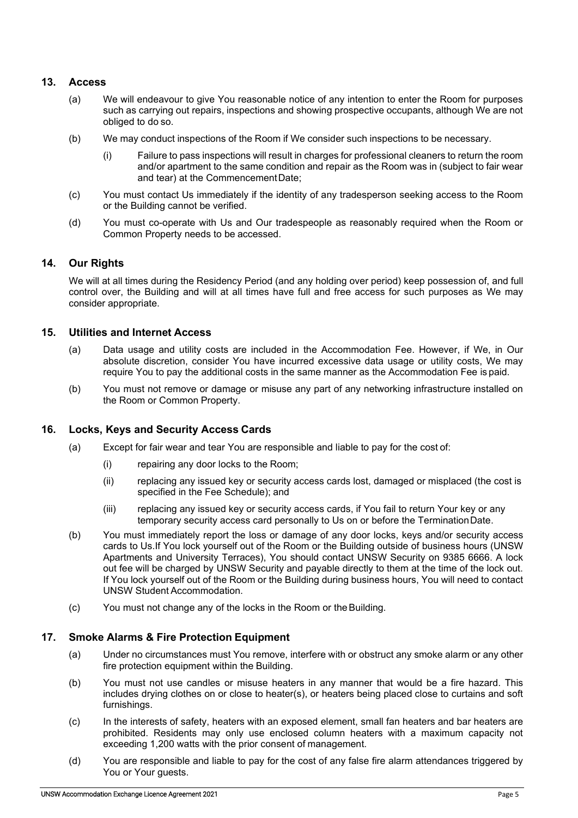## **13. Access**

- (a) We will endeavour to give You reasonable notice of any intention to enter the Room for purposes such as carrying out repairs, inspections and showing prospective occupants, although We are not obliged to do so.
- (b) We may conduct inspections of the Room if We consider such inspections to be necessary.
	- (i) Failure to pass inspections will result in charges for professional cleaners to return the room and/or apartment to the same condition and repair as the Room was in (subject to fair wear and tear) at the CommencementDate;
- (c) You must contact Us immediately if the identity of any tradesperson seeking access to the Room or the Building cannot be verified.
- (d) You must co-operate with Us and Our tradespeople as reasonably required when the Room or Common Property needs to be accessed.

## **14. Our Rights**

We will at all times during the Residency Period (and any holding over period) keep possession of, and full control over, the Building and will at all times have full and free access for such purposes as We may consider appropriate.

## **15. Utilities and Internet Access**

- (a) Data usage and utility costs are included in the Accommodation Fee. However, if We, in Our absolute discretion, consider You have incurred excessive data usage or utility costs, We may require You to pay the additional costs in the same manner as the Accommodation Fee is paid.
- (b) You must not remove or damage or misuse any part of any networking infrastructure installed on the Room or Common Property.

## **16. Locks, Keys and Security Access Cards**

- (a) Except for fair wear and tear You are responsible and liable to pay for the cost of:
	- (i) repairing any door locks to the Room;
	- (ii) replacing any issued key or security access cards lost, damaged or misplaced (the cost is specified in the Fee Schedule); and
	- (iii) replacing any issued key or security access cards, if You fail to return Your key or any temporary security access card personally to Us on or before the TerminationDate.
- (b) You must immediately report the loss or damage of any door locks, keys and/or security access cards to Us.If You lock yourself out of the Room or the Building outside of business hours (UNSW Apartments and University Terraces), You should contact UNSW Security on 9385 6666. A lock out fee will be charged by UNSW Security and payable directly to them at the time of the lock out. If You lock yourself out of the Room or the Building during business hours, You will need to contact UNSW Student Accommodation.
- (c) You must not change any of the locks in the Room or theBuilding.

## **17. Smoke Alarms & Fire Protection Equipment**

- (a) Under no circumstances must You remove, interfere with or obstruct any smoke alarm or any other fire protection equipment within the Building.
- (b) You must not use candles or misuse heaters in any manner that would be a fire hazard. This includes drying clothes on or close to heater(s), or heaters being placed close to curtains and soft furnishings.
- (c) In the interests of safety, heaters with an exposed element, small fan heaters and bar heaters are prohibited. Residents may only use enclosed column heaters with a maximum capacity not exceeding 1,200 watts with the prior consent of management.
- (d) You are responsible and liable to pay for the cost of any false fire alarm attendances triggered by You or Your quests.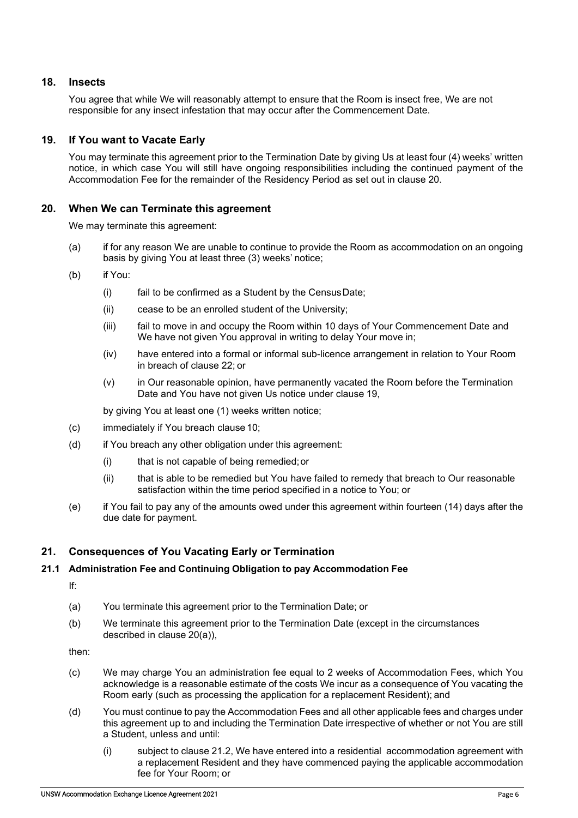## **18. Insects**

You agree that while We will reasonably attempt to ensure that the Room is insect free, We are not responsible for any insect infestation that may occur after the Commencement Date.

## **19. If You want to Vacate Early**

You may terminate this agreement prior to the Termination Date by giving Us at least four (4) weeks' written notice, in which case You will still have ongoing responsibilities including the continued payment of the Accommodation Fee for the remainder of the Residency Period as set out in clause 20.

## **20. When We can Terminate this agreement**

We may terminate this agreement:

- (a) if for any reason We are unable to continue to provide the Room as accommodation on an ongoing basis by giving You at least three (3) weeks' notice;
- (b) if You:
	- (i) fail to be confirmed as a Student by the CensusDate;
	- (ii) cease to be an enrolled student of the University;
	- (iii) fail to move in and occupy the Room within 10 days of Your Commencement Date and We have not given You approval in writing to delay Your move in;
	- (iv) have entered into a formal or informal sub-licence arrangement in relation to Your Room in breach of clause 22; or
	- (v) in Our reasonable opinion, have permanently vacated the Room before the Termination Date and You have not given Us notice under clause 19,

by giving You at least one (1) weeks written notice;

- (c) immediately if You breach clause 10;
- (d) if You breach any other obligation under this agreement:
	- (i) that is not capable of being remedied;or
	- (ii) that is able to be remedied but You have failed to remedy that breach to Our reasonable satisfaction within the time period specified in a notice to You; or
- (e) if You fail to pay any of the amounts owed under this agreement within fourteen (14) days after the due date for payment.

#### **21. Consequences of You Vacating Early or Termination**

#### **21.1 Administration Fee and Continuing Obligation to pay Accommodation Fee**

If:

- (a) You terminate this agreement prior to the Termination Date; or
- (b) We terminate this agreement prior to the Termination Date (except in the circumstances described in clause 20(a)),

then:

- (c) We may charge You an administration fee equal to 2 weeks of Accommodation Fees, which You acknowledge is a reasonable estimate of the costs We incur as a consequence of You vacating the Room early (such as processing the application for a replacement Resident); and
- (d) You must continue to pay the Accommodation Fees and all other applicable fees and charges under this agreement up to and including the Termination Date irrespective of whether or not You are still a Student, unless and until:
	- (i) subject to clause 21.2, We have entered into a residential accommodation agreement with a replacement Resident and they have commenced paying the applicable accommodation fee for Your Room; or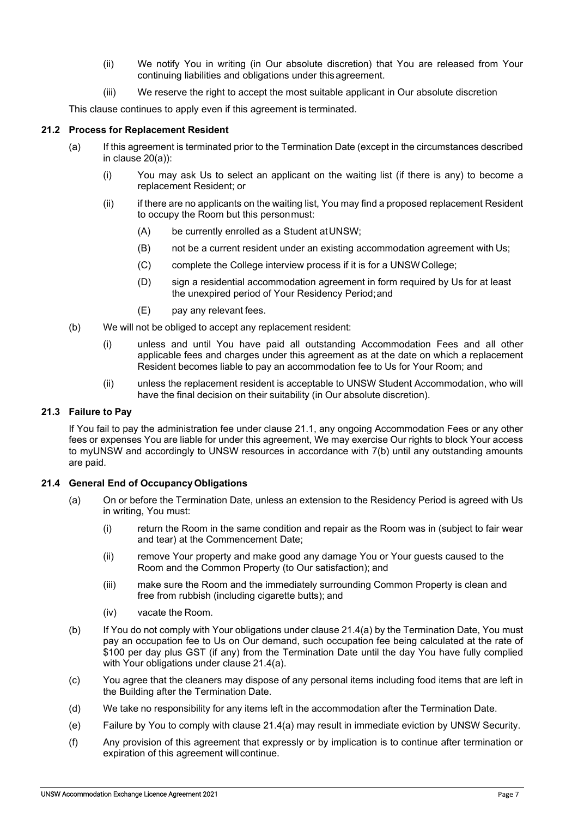- (ii) We notify You in writing (in Our absolute discretion) that You are released from Your continuing liabilities and obligations under this agreement.
- (iii) We reserve the right to accept the most suitable applicant in Our absolute discretion

This clause continues to apply even if this agreement is terminated.

#### **21.2 Process for Replacement Resident**

- (a) If this agreement is terminated prior to the Termination Date (except in the circumstances described in clause 20(a)):
	- (i) You may ask Us to select an applicant on the waiting list (if there is any) to become a replacement Resident; or
	- (ii) if there are no applicants on the waiting list, You may find a proposed replacement Resident to occupy the Room but this personmust:
		- (A) be currently enrolled as a Student atUNSW;
		- (B) not be a current resident under an existing accommodation agreement with Us;
		- (C) complete the College interview process if it is for a UNSWCollege;
		- (D) sign a residential accommodation agreement in form required by Us for at least the unexpired period of Your Residency Period;and
		- (E) pay any relevant fees.
- (b) We will not be obliged to accept any replacement resident:
	- (i) unless and until You have paid all outstanding Accommodation Fees and all other applicable fees and charges under this agreement as at the date on which a replacement Resident becomes liable to pay an accommodation fee to Us for Your Room; and
	- (ii) unless the replacement resident is acceptable to UNSW Student Accommodation, who will have the final decision on their suitability (in Our absolute discretion).

## **21.3 Failure to Pay**

If You fail to pay the administration fee under clause 21.1, any ongoing Accommodation Fees or any other fees or expenses You are liable for under this agreement, We may exercise Our rights to block Your access to myUNSW and accordingly to UNSW resources in accordance with 7(b) until any outstanding amounts are paid.

#### **21.4 General End of OccupancyObligations**

- (a) On or before the Termination Date, unless an extension to the Residency Period is agreed with Us in writing, You must:
	- (i) return the Room in the same condition and repair as the Room was in (subject to fair wear and tear) at the Commencement Date;
	- (ii) remove Your property and make good any damage You or Your guests caused to the Room and the Common Property (to Our satisfaction); and
	- (iii) make sure the Room and the immediately surrounding Common Property is clean and free from rubbish (including cigarette butts); and
	- (iv) vacate the Room.
- (b) If You do not comply with Your obligations under clause 21.4(a) by the Termination Date, You must pay an occupation fee to Us on Our demand, such occupation fee being calculated at the rate of \$100 per day plus GST (if any) from the Termination Date until the day You have fully complied with Your obligations under clause 21.4(a).
- (c) You agree that the cleaners may dispose of any personal items including food items that are left in the Building after the Termination Date.
- (d) We take no responsibility for any items left in the accommodation after the Termination Date.
- (e) Failure by You to comply with clause 21.4(a) may result in immediate eviction by UNSW Security.
- (f) Any provision of this agreement that expressly or by implication is to continue after termination or expiration of this agreement will continue.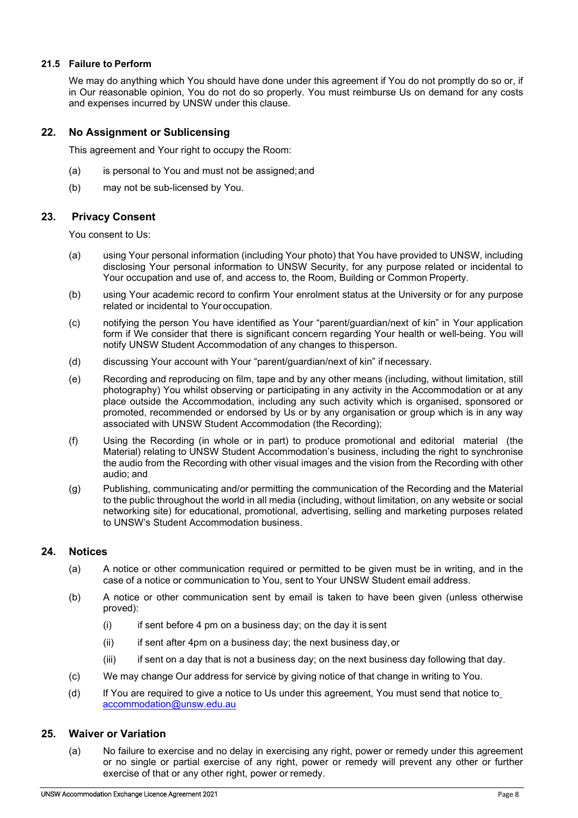## **21.5 Failure to Perform**

We may do anything which You should have done under this agreement if You do not promptly do so or, if in Our reasonable opinion, You do not do so properly. You must reimburse Us on demand for any costs and expenses incurred by UNSW under this clause.

## **22. No Assignment or Sublicensing**

This agreement and Your right to occupy the Room:

- (a) is personal to You and must not be assigned;and
- (b) may not be sub-licensed by You.

## **23. Privacy Consent**

You consent to Us:

- (a) using Your personal information (including Your photo) that You have provided to UNSW, including disclosing Your personal information to UNSW Security, for any purpose related or incidental to Your occupation and use of, and access to, the Room, Building or Common Property.
- (b) using Your academic record to confirm Your enrolment status at the University or for any purpose related or incidental to Your occupation.
- (c) notifying the person You have identified as Your "parent/guardian/next of kin" in Your application form if We consider that there is significant concern regarding Your health or well-being. You will notify UNSW Student Accommodation of any changes to thisperson.
- (d) discussing Your account with Your "parent/guardian/next of kin" if necessary.
- (e) Recording and reproducing on film, tape and by any other means (including, without limitation, still photography) You whilst observing or participating in any activity in the Accommodation or at any place outside the Accommodation, including any such activity which is organised, sponsored or promoted, recommended or endorsed by Us or by any organisation or group which is in any way associated with UNSW Student Accommodation (the Recording);
- (f) Using the Recording (in whole or in part) to produce promotional and editorial material (the Material) relating to UNSW Student Accommodation's business, including the right to synchronise the audio from the Recording with other visual images and the vision from the Recording with other audio; and
- (g) Publishing, communicating and/or permitting the communication of the Recording and the Material to the public throughout the world in all media (including, without limitation, on any website or social networking site) for educational, promotional, advertising, selling and marketing purposes related to UNSW's Student Accommodation business.

## **24. Notices**

- (a) A notice or other communication required or permitted to be given must be in writing, and in the case of a notice or communication to You, sent to Your UNSW Student email address.
- (b) A notice or other communication sent by email is taken to have been given (unless otherwise proved):
	- $(i)$  if sent before 4 pm on a business day; on the day it is sent
	- (ii) if sent after 4pm on a business day; the next business day,or
	- (iii) if sent on a day that is not a business day; on the next business day following that day.
- (c) We may change Our address for service by giving notice of that change in writing to You.
- (d) If You are required to give a notice to Us under this agreement, You must send that notice to [accommodation@unsw.edu.au](mailto:accommodation@unsw.edu.au)

#### **25. Waiver or Variation**

(a) No failure to exercise and no delay in exercising any right, power or remedy under this agreement or no single or partial exercise of any right, power or remedy will prevent any other or further exercise of that or any other right, power or remedy.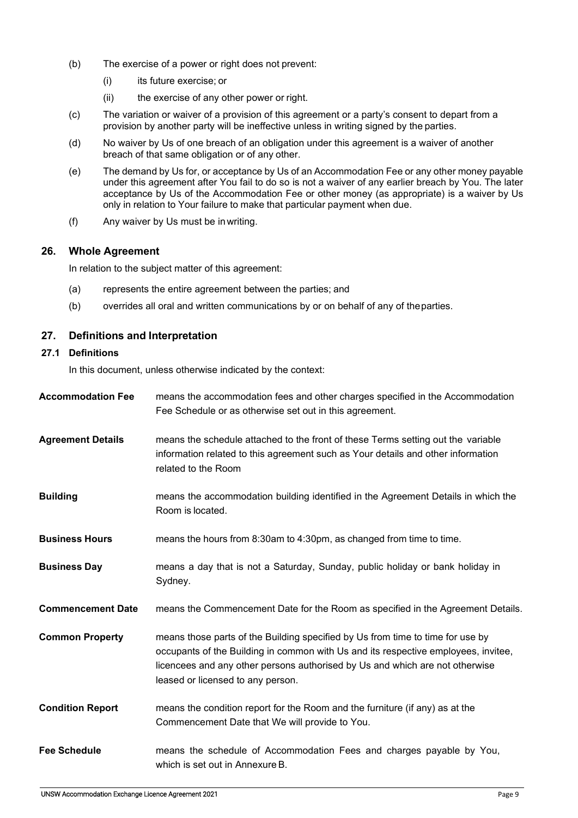- (b) The exercise of a power or right does not prevent:
	- (i) its future exercise; or
	- (ii) the exercise of any other power or right.
- (c) The variation or waiver of a provision of this agreement or a party's consent to depart from a provision by another party will be ineffective unless in writing signed by the parties.
- (d) No waiver by Us of one breach of an obligation under this agreement is a waiver of another breach of that same obligation or of any other.
- (e) The demand by Us for, or acceptance by Us of an Accommodation Fee or any other money payable under this agreement after You fail to do so is not a waiver of any earlier breach by You. The later acceptance by Us of the Accommodation Fee or other money (as appropriate) is a waiver by Us only in relation to Your failure to make that particular payment when due.
- (f) Any waiver by Us must be inwriting.

#### **26. Whole Agreement**

In relation to the subject matter of this agreement:

- (a) represents the entire agreement between the parties; and
- (b) overrides all oral and written communications by or on behalf of any of theparties.

## **27. Definitions and Interpretation**

#### **27.1 Definitions**

In this document, unless otherwise indicated by the context:

| <b>Accommodation Fee</b> | means the accommodation fees and other charges specified in the Accommodation<br>Fee Schedule or as otherwise set out in this agreement.                                                                                                                                                  |
|--------------------------|-------------------------------------------------------------------------------------------------------------------------------------------------------------------------------------------------------------------------------------------------------------------------------------------|
| <b>Agreement Details</b> | means the schedule attached to the front of these Terms setting out the variable<br>information related to this agreement such as Your details and other information<br>related to the Room                                                                                               |
| <b>Building</b>          | means the accommodation building identified in the Agreement Details in which the<br>Room is located.                                                                                                                                                                                     |
| <b>Business Hours</b>    | means the hours from 8:30am to 4:30pm, as changed from time to time.                                                                                                                                                                                                                      |
| <b>Business Day</b>      | means a day that is not a Saturday, Sunday, public holiday or bank holiday in<br>Sydney.                                                                                                                                                                                                  |
| <b>Commencement Date</b> | means the Commencement Date for the Room as specified in the Agreement Details.                                                                                                                                                                                                           |
| <b>Common Property</b>   | means those parts of the Building specified by Us from time to time for use by<br>occupants of the Building in common with Us and its respective employees, invitee,<br>licencees and any other persons authorised by Us and which are not otherwise<br>leased or licensed to any person. |
| <b>Condition Report</b>  | means the condition report for the Room and the furniture (if any) as at the<br>Commencement Date that We will provide to You.                                                                                                                                                            |
| <b>Fee Schedule</b>      | means the schedule of Accommodation Fees and charges payable by You,<br>which is set out in Annexure B.                                                                                                                                                                                   |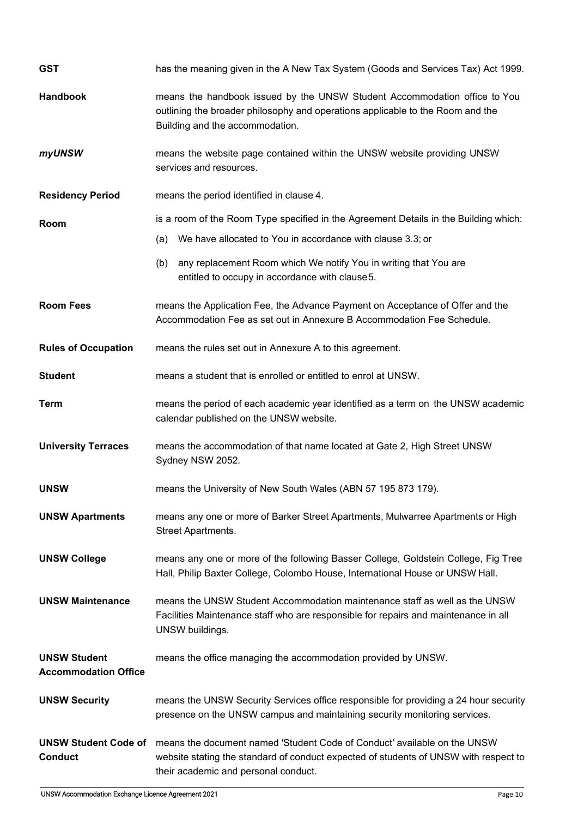| <b>GST</b>                                         | has the meaning given in the A New Tax System (Goods and Services Tax) Act 1999.                                                                                                                         |  |  |
|----------------------------------------------------|----------------------------------------------------------------------------------------------------------------------------------------------------------------------------------------------------------|--|--|
| <b>Handbook</b>                                    | means the handbook issued by the UNSW Student Accommodation office to You<br>outlining the broader philosophy and operations applicable to the Room and the<br>Building and the accommodation.           |  |  |
| myUNSW                                             | means the website page contained within the UNSW website providing UNSW<br>services and resources.                                                                                                       |  |  |
| <b>Residency Period</b>                            | means the period identified in clause 4.                                                                                                                                                                 |  |  |
| Room                                               | is a room of the Room Type specified in the Agreement Details in the Building which:                                                                                                                     |  |  |
|                                                    | We have allocated to You in accordance with clause 3.3; or<br>(a)                                                                                                                                        |  |  |
|                                                    | any replacement Room which We notify You in writing that You are<br>(b)<br>entitled to occupy in accordance with clause 5.                                                                               |  |  |
| <b>Room Fees</b>                                   | means the Application Fee, the Advance Payment on Acceptance of Offer and the<br>Accommodation Fee as set out in Annexure B Accommodation Fee Schedule.                                                  |  |  |
| <b>Rules of Occupation</b>                         | means the rules set out in Annexure A to this agreement.                                                                                                                                                 |  |  |
| <b>Student</b>                                     | means a student that is enrolled or entitled to enrol at UNSW.                                                                                                                                           |  |  |
| <b>Term</b>                                        | means the period of each academic year identified as a term on the UNSW academic<br>calendar published on the UNSW website.                                                                              |  |  |
| <b>University Terraces</b>                         | means the accommodation of that name located at Gate 2, High Street UNSW<br>Sydney NSW 2052.                                                                                                             |  |  |
| <b>UNSW</b>                                        | means the University of New South Wales (ABN 57 195 873 179).                                                                                                                                            |  |  |
| <b>UNSW Apartments</b>                             | means any one or more of Barker Street Apartments, Mulwarree Apartments or High<br>Street Apartments.                                                                                                    |  |  |
| <b>UNSW College</b>                                | means any one or more of the following Basser College, Goldstein College, Fig Tree<br>Hall, Philip Baxter College, Colombo House, International House or UNSW Hall.                                      |  |  |
| <b>UNSW Maintenance</b>                            | means the UNSW Student Accommodation maintenance staff as well as the UNSW<br>Facilities Maintenance staff who are responsible for repairs and maintenance in all<br>UNSW buildings.                     |  |  |
| <b>UNSW Student</b><br><b>Accommodation Office</b> | means the office managing the accommodation provided by UNSW.                                                                                                                                            |  |  |
| <b>UNSW Security</b>                               | means the UNSW Security Services office responsible for providing a 24 hour security<br>presence on the UNSW campus and maintaining security monitoring services.                                        |  |  |
| <b>UNSW Student Code of</b><br><b>Conduct</b>      | means the document named 'Student Code of Conduct' available on the UNSW<br>website stating the standard of conduct expected of students of UNSW with respect to<br>their academic and personal conduct. |  |  |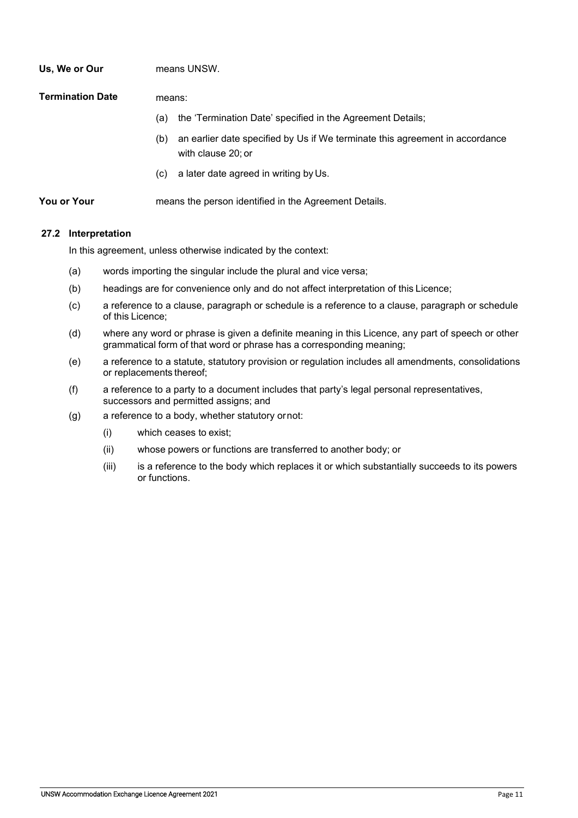| Us, We or Our    | means UNSW.                                                                                               |  |
|------------------|-----------------------------------------------------------------------------------------------------------|--|
| Termination Date | means:                                                                                                    |  |
|                  | the 'Termination Date' specified in the Agreement Details;<br>(a)                                         |  |
|                  | an earlier date specified by Us if We terminate this agreement in accordance<br>(b)<br>with clause 20: or |  |
|                  | a later date agreed in writing by Us.<br>(C)                                                              |  |
| You or Your      | means the person identified in the Agreement Details.                                                     |  |

## **27.2 Interpretation**

In this agreement, unless otherwise indicated by the context:

- (a) words importing the singular include the plural and vice versa;
- (b) headings are for convenience only and do not affect interpretation of this Licence;
- (c) a reference to a clause, paragraph or schedule is a reference to a clause, paragraph or schedule of this Licence;
- (d) where any word or phrase is given a definite meaning in this Licence, any part of speech or other grammatical form of that word or phrase has a corresponding meaning;
- (e) a reference to a statute, statutory provision or regulation includes all amendments, consolidations or replacements thereof;
- (f) a reference to a party to a document includes that party's legal personal representatives, successors and permitted assigns; and
- (g) a reference to a body, whether statutory ornot:
	- (i) which ceases to exist;
	- (ii) whose powers or functions are transferred to another body; or
	- (iii) is a reference to the body which replaces it or which substantially succeeds to its powers or functions.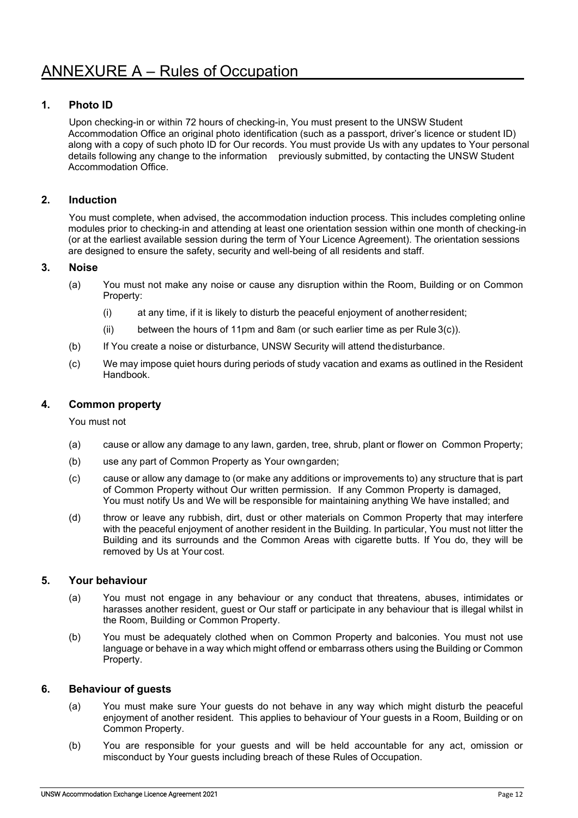## **1. Photo ID**

Upon checking-in or within 72 hours of checking-in, You must present to the UNSW Student Accommodation Office an original photo identification (such as a passport, driver's licence or student ID) along with a copy of such photo ID for Our records. You must provide Us with any updates to Your personal details following any change to the information previously submitted, by contacting the UNSW Student Accommodation Office.

## **2. Induction**

You must complete, when advised, the accommodation induction process. This includes completing online modules prior to checking-in and attending at least one orientation session within one month of checking-in (or at the earliest available session during the term of Your Licence Agreement). The orientation sessions are designed to ensure the safety, security and well-being of all residents and staff.

## **3. Noise**

- (a) You must not make any noise or cause any disruption within the Room, Building or on Common Property:
	- (i) at any time, if it is likely to disturb the peaceful enjoyment of anotherresident;
	- (ii) between the hours of 11pm and 8am (or such earlier time as per Rule 3(c)).
- (b) If You create a noise or disturbance, UNSW Security will attend thedisturbance.
- (c) We may impose quiet hours during periods of study vacation and exams as outlined in the Resident Handbook.

## **4. Common property**

You must not

- (a) cause or allow any damage to any lawn, garden, tree, shrub, plant or flower on Common Property;
- (b) use any part of Common Property as Your owngarden;
- (c) cause or allow any damage to (or make any additions or improvements to) any structure that is part of Common Property without Our written permission. If any Common Property is damaged, You must notify Us and We will be responsible for maintaining anything We have installed; and
- (d) throw or leave any rubbish, dirt, dust or other materials on Common Property that may interfere with the peaceful enjoyment of another resident in the Building. In particular, You must not litter the Building and its surrounds and the Common Areas with cigarette butts. If You do, they will be removed by Us at Your cost.

#### **5. Your behaviour**

- (a) You must not engage in any behaviour or any conduct that threatens, abuses, intimidates or harasses another resident, guest or Our staff or participate in any behaviour that is illegal whilst in the Room, Building or Common Property.
- (b) You must be adequately clothed when on Common Property and balconies. You must not use language or behave in a way which might offend or embarrass others using the Building or Common Property.

#### **6. Behaviour of guests**

- (a) You must make sure Your guests do not behave in any way which might disturb the peaceful enjoyment of another resident. This applies to behaviour of Your guests in a Room, Building or on Common Property.
- (b) You are responsible for your guests and will be held accountable for any act, omission or misconduct by Your guests including breach of these Rules of Occupation.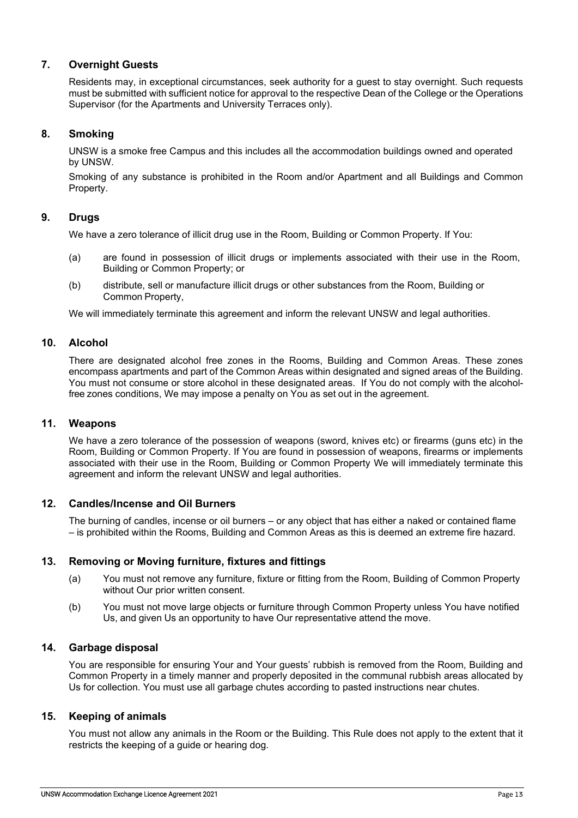## **7. Overnight Guests**

Residents may, in exceptional circumstances, seek authority for a guest to stay overnight. Such requests must be submitted with sufficient notice for approval to the respective Dean of the College or the Operations Supervisor (for the Apartments and University Terraces only).

## **8. Smoking**

UNSW is a smoke free Campus and this includes all the accommodation buildings owned and operated by UNSW.

Smoking of any substance is prohibited in the Room and/or Apartment and all Buildings and Common Property.

## **9. Drugs**

We have a zero tolerance of illicit drug use in the Room, Building or Common Property. If You:

- (a) are found in possession of illicit drugs or implements associated with their use in the Room, Building or Common Property; or
- (b) distribute, sell or manufacture illicit drugs or other substances from the Room, Building or Common Property,

We will immediately terminate this agreement and inform the relevant UNSW and legal authorities.

#### **10. Alcohol**

There are designated alcohol free zones in the Rooms, Building and Common Areas. These zones encompass apartments and part of the Common Areas within designated and signed areas of the Building. You must not consume or store alcohol in these designated areas. If You do not comply with the alcoholfree zones conditions, We may impose a penalty on You as set out in the agreement.

#### **11. Weapons**

We have a zero tolerance of the possession of weapons (sword, knives etc) or firearms (guns etc) in the Room, Building or Common Property. If You are found in possession of weapons, firearms or implements associated with their use in the Room, Building or Common Property We will immediately terminate this agreement and inform the relevant UNSW and legal authorities.

#### **12. Candles/Incense and Oil Burners**

The burning of candles, incense or oil burners – or any object that has either a naked or contained flame – is prohibited within the Rooms, Building and Common Areas as this is deemed an extreme fire hazard.

#### **13. Removing or Moving furniture, fixtures and fittings**

- (a) You must not remove any furniture, fixture or fitting from the Room, Building of Common Property without Our prior written consent.
- (b) You must not move large objects or furniture through Common Property unless You have notified Us, and given Us an opportunity to have Our representative attend the move.

#### **14. Garbage disposal**

You are responsible for ensuring Your and Your guests' rubbish is removed from the Room, Building and Common Property in a timely manner and properly deposited in the communal rubbish areas allocated by Us for collection. You must use all garbage chutes according to pasted instructions near chutes.

#### **15. Keeping of animals**

You must not allow any animals in the Room or the Building. This Rule does not apply to the extent that it restricts the keeping of a guide or hearing dog.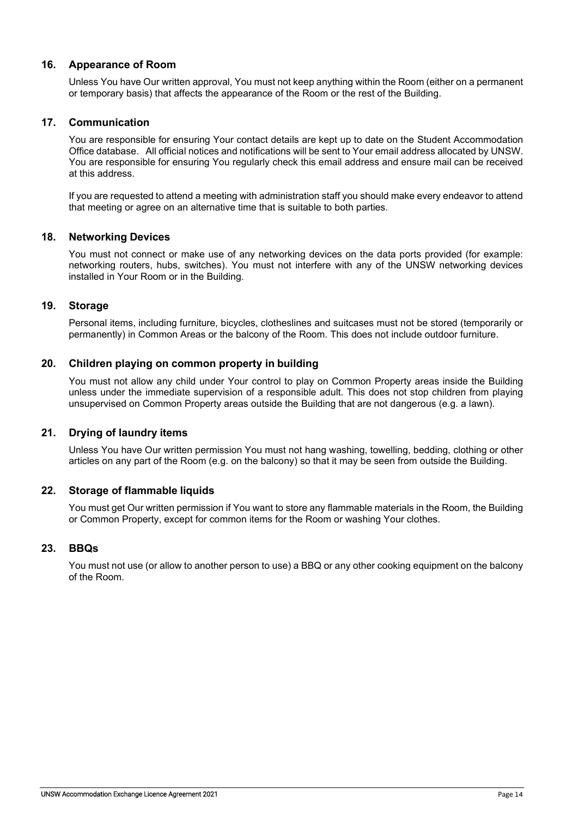## **16. Appearance of Room**

Unless You have Our written approval, You must not keep anything within the Room (either on a permanent or temporary basis) that affects the appearance of the Room or the rest of the Building.

## **17. Communication**

You are responsible for ensuring Your contact details are kept up to date on the Student Accommodation Office database. All official notices and notifications will be sent to Your email address allocated by UNSW. You are responsible for ensuring You regularly check this email address and ensure mail can be received at this address.

If you are requested to attend a meeting with administration staff you should make every endeavor to attend that meeting or agree on an alternative time that is suitable to both parties.

## **18. Networking Devices**

You must not connect or make use of any networking devices on the data ports provided (for example: networking routers, hubs, switches). You must not interfere with any of the UNSW networking devices installed in Your Room or in the Building.

## **19. Storage**

Personal items, including furniture, bicycles, clotheslines and suitcases must not be stored (temporarily or permanently) in Common Areas or the balcony of the Room. This does not include outdoor furniture.

## **20. Children playing on common property in building**

You must not allow any child under Your control to play on Common Property areas inside the Building unless under the immediate supervision of a responsible adult. This does not stop children from playing unsupervised on Common Property areas outside the Building that are not dangerous (e.g. a lawn).

## **21. Drying of laundry items**

Unless You have Our written permission You must not hang washing, towelling, bedding, clothing or other articles on any part of the Room (e.g. on the balcony) so that it may be seen from outside the Building.

#### **22. Storage of flammable liquids**

You must get Our written permission if You want to store any flammable materials in the Room, the Building or Common Property, except for common items for the Room or washing Your clothes.

#### **23. BBQs**

You must not use (or allow to another person to use) a BBQ or any other cooking equipment on the balcony of the Room.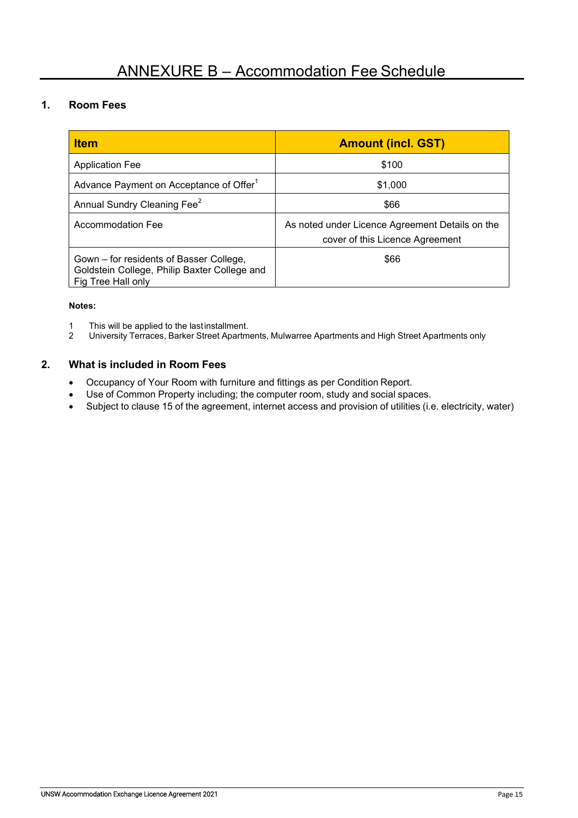# **1. Room Fees**

| <b>Item</b>                                                                                                   | <b>Amount (incl. GST)</b>                                                          |
|---------------------------------------------------------------------------------------------------------------|------------------------------------------------------------------------------------|
| <b>Application Fee</b>                                                                                        | \$100                                                                              |
| Advance Payment on Acceptance of Offer <sup>1</sup>                                                           | \$1,000                                                                            |
| Annual Sundry Cleaning Fee <sup>2</sup>                                                                       | \$66                                                                               |
| <b>Accommodation Fee</b>                                                                                      | As noted under Licence Agreement Details on the<br>cover of this Licence Agreement |
| Gown – for residents of Basser College,<br>Goldstein College, Philip Baxter College and<br>Fig Tree Hall only | \$66                                                                               |

#### **Notes:**

- 1 This will be applied to the lastinstallment.<br>2 University Terraces, Barker Street Apartm
- 2 University Terraces, Barker Street Apartments, Mulwarree Apartments and High Street Apartments only

## **2. What is included in Room Fees**

- Occupancy of Your Room with furniture and fittings as per Condition Report.
- Use of Common Property including; the computer room, study and social spaces.
- Subject to clause 15 of the agreement, internet access and provision of utilities (i.e. electricity, water)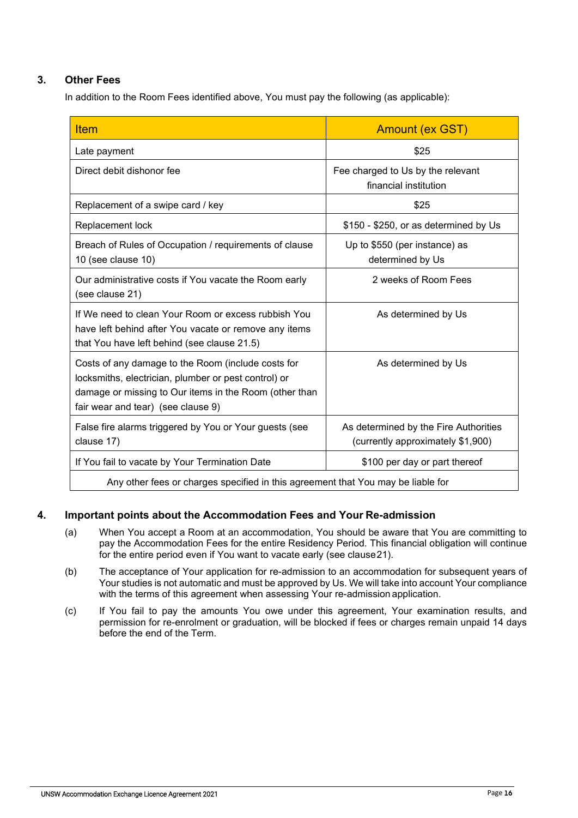# **3. Other Fees**

In addition to the Room Fees identified above, You must pay the following (as applicable):

| <b>Item</b>                                                                                                                                                                                                | <b>Amount (ex GST)</b>                                                     |  |  |
|------------------------------------------------------------------------------------------------------------------------------------------------------------------------------------------------------------|----------------------------------------------------------------------------|--|--|
| Late payment                                                                                                                                                                                               | \$25                                                                       |  |  |
| Direct debit dishonor fee                                                                                                                                                                                  | Fee charged to Us by the relevant<br>financial institution                 |  |  |
| Replacement of a swipe card / key                                                                                                                                                                          | \$25                                                                       |  |  |
| Replacement lock                                                                                                                                                                                           | \$150 - \$250, or as determined by Us                                      |  |  |
| Breach of Rules of Occupation / requirements of clause<br>10 (see clause 10)                                                                                                                               | Up to \$550 (per instance) as<br>determined by Us                          |  |  |
| Our administrative costs if You vacate the Room early<br>(see clause 21)                                                                                                                                   | 2 weeks of Room Fees                                                       |  |  |
| If We need to clean Your Room or excess rubbish You<br>have left behind after You vacate or remove any items<br>that You have left behind (see clause 21.5)                                                | As determined by Us                                                        |  |  |
| Costs of any damage to the Room (include costs for<br>locksmiths, electrician, plumber or pest control) or<br>damage or missing to Our items in the Room (other than<br>fair wear and tear) (see clause 9) | As determined by Us                                                        |  |  |
| False fire alarms triggered by You or Your guests (see<br>clause 17)                                                                                                                                       | As determined by the Fire Authorities<br>(currently approximately \$1,900) |  |  |
| If You fail to vacate by Your Termination Date                                                                                                                                                             | \$100 per day or part thereof                                              |  |  |
| Any other fees or charges specified in this agreement that You may be liable for                                                                                                                           |                                                                            |  |  |

## **4. Important points about the Accommodation Fees and Your Re-admission**

- (a) When You accept a Room at an accommodation, You should be aware that You are committing to pay the Accommodation Fees for the entire Residency Period. This financial obligation will continue for the entire period even if You want to vacate early (see clause21).
- (b) The acceptance of Your application for re-admission to an accommodation for subsequent years of Your studies is not automatic and must be approved by Us. We will take into account Your compliance with the terms of this agreement when assessing Your re-admission application.
- (c) If You fail to pay the amounts You owe under this agreement, Your examination results, and permission for re-enrolment or graduation, will be blocked if fees or charges remain unpaid 14 days before the end of the Term.